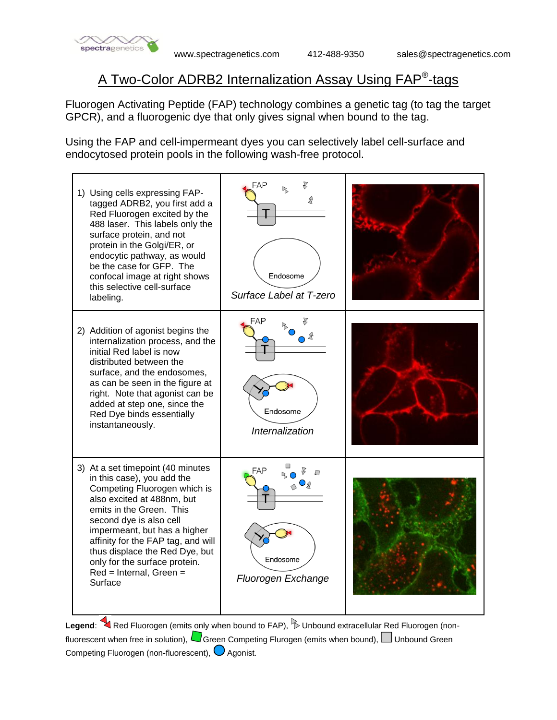

## A Two-Color ADRB2 Internalization Assay Using FAP® -tags

Fluorogen Activating Peptide (FAP) technology combines a genetic tag (to tag the target GPCR), and a fluorogenic dye that only gives signal when bound to the tag.

Using the FAP and cell-impermeant dyes you can selectively label cell-surface and endocytosed protein pools in the following wash-free protocol.



Legend: Red Fluorogen (emits only when bound to FAP), **Dunbound extracellular Red Fluorogen** (nonfluorescent when free in solution),  $\Box$  Green Competing Flurogen (emits when bound),  $\Box$  Unbound Green Competing Fluorogen (non-fluorescent),  $\bigcirc$  Agonist.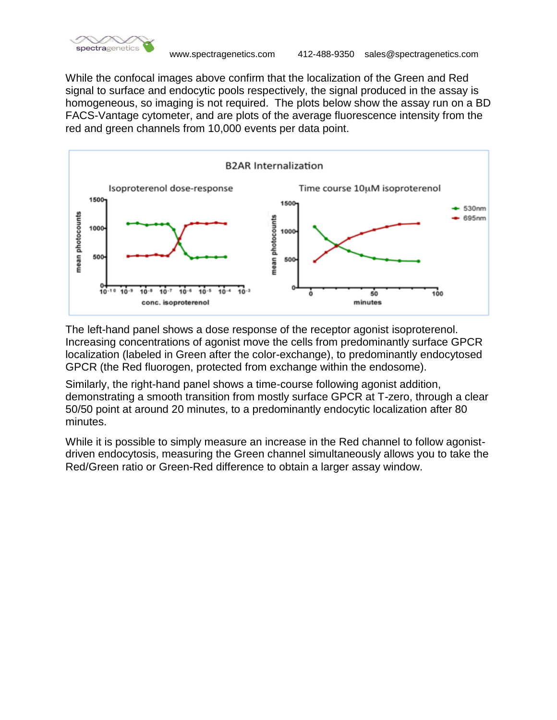

While the confocal images above confirm that the localization of the Green and Red signal to surface and endocytic pools respectively, the signal produced in the assay is homogeneous, so imaging is not required. The plots below show the assay run on a BD FACS-Vantage cytometer, and are plots of the average fluorescence intensity from the red and green channels from 10,000 events per data point.



The left-hand panel shows a dose response of the receptor agonist isoproterenol. Increasing concentrations of agonist move the cells from predominantly surface GPCR localization (labeled in Green after the color-exchange), to predominantly endocytosed GPCR (the Red fluorogen, protected from exchange within the endosome).

Similarly, the right-hand panel shows a time-course following agonist addition, demonstrating a smooth transition from mostly surface GPCR at T-zero, through a clear 50/50 point at around 20 minutes, to a predominantly endocytic localization after 80 minutes.

While it is possible to simply measure an increase in the Red channel to follow agonistdriven endocytosis, measuring the Green channel simultaneously allows you to take the Red/Green ratio or Green-Red difference to obtain a larger assay window.